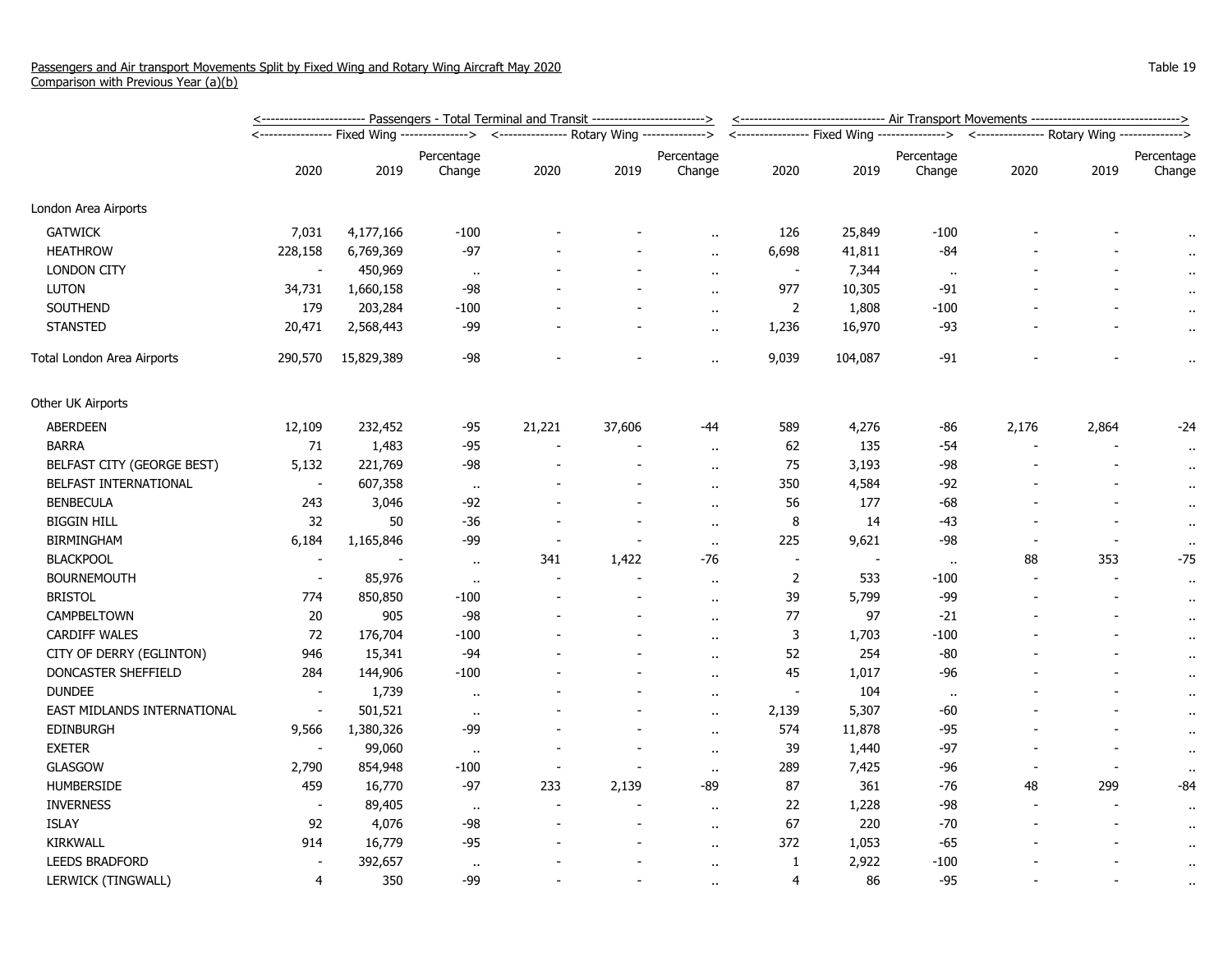|                             | <u>&lt;----------------------- Passengers - Total Terminal and Transit ------------------------&gt;</u> | <u>&lt;------------------------------ Air Transport Movements -------------------------------&gt;</u> |                                                                                          |        |                |                      |                          |         |              |                                                                                            |       |                     |
|-----------------------------|---------------------------------------------------------------------------------------------------------|-------------------------------------------------------------------------------------------------------|------------------------------------------------------------------------------------------|--------|----------------|----------------------|--------------------------|---------|--------------|--------------------------------------------------------------------------------------------|-------|---------------------|
|                             |                                                                                                         |                                                                                                       | <---------------- Fixed Wing --------------> <--------------- Rotary Wing -------------> |        |                |                      |                          |         |              | <---------------- Fixed Wing ---------------> <--------------- Rotary Wing --------------> |       |                     |
|                             |                                                                                                         |                                                                                                       | Percentage                                                                               |        |                | Percentage           |                          |         | Percentage   |                                                                                            |       | Percentage          |
|                             | 2020                                                                                                    | 2019                                                                                                  | Change                                                                                   | 2020   | 2019           | Change               | 2020                     | 2019    | Change       | 2020                                                                                       | 2019  | Change              |
| London Area Airports        |                                                                                                         |                                                                                                       |                                                                                          |        |                |                      |                          |         |              |                                                                                            |       |                     |
| <b>GATWICK</b>              | 7,031                                                                                                   | 4,177,166                                                                                             | $-100$                                                                                   |        |                |                      | 126                      | 25,849  | $-100$       |                                                                                            |       |                     |
| <b>HEATHROW</b>             | 228,158                                                                                                 | 6,769,369                                                                                             | $-97$                                                                                    |        |                | $\alpha$ .           | 6,698                    | 41,811  | -84          |                                                                                            |       | $\bullet$ .         |
| <b>LONDON CITY</b>          | $\sim$                                                                                                  | 450,969                                                                                               | $\bullet$                                                                                |        |                | $\ddot{\phantom{a}}$ | $\overline{\phantom{a}}$ | 7,344   | $\cdot\cdot$ |                                                                                            |       | $\cdot$             |
| <b>LUTON</b>                | 34,731                                                                                                  | 1,660,158                                                                                             | -98                                                                                      |        |                |                      | 977                      | 10,305  | $-91$        |                                                                                            |       |                     |
| SOUTHEND                    | 179                                                                                                     | 203,284                                                                                               | $-100$                                                                                   |        |                | $\sim$               | $\overline{2}$           | 1,808   | $-100$       |                                                                                            |       | $\bullet$ .         |
| <b>STANSTED</b>             | 20,471                                                                                                  | 2,568,443                                                                                             | -99                                                                                      |        |                | $\alpha$             | 1,236                    | 16,970  | -93          |                                                                                            |       | $\cdot$             |
| Total London Area Airports  | 290,570                                                                                                 | 15,829,389                                                                                            | $-98$                                                                                    |        |                | $\sim$               | 9,039                    | 104,087 | $-91$        |                                                                                            |       | $\bullet$ .         |
| Other UK Airports           |                                                                                                         |                                                                                                       |                                                                                          |        |                |                      |                          |         |              |                                                                                            |       |                     |
| <b>ABERDEEN</b>             | 12,109                                                                                                  | 232,452                                                                                               | -95                                                                                      | 21,221 | 37,606         | -44                  | 589                      | 4,276   | -86          | 2,176                                                                                      | 2,864 | -24                 |
| <b>BARRA</b>                | 71                                                                                                      | 1,483                                                                                                 | $-95$                                                                                    |        |                | $\sim$               | 62                       | 135     | $-54$        |                                                                                            |       | $\cdot$             |
| BELFAST CITY (GEORGE BEST)  | 5,132                                                                                                   | 221,769                                                                                               | $-98$                                                                                    |        |                | $\alpha$ .           | 75                       | 3,193   | $-98$        |                                                                                            |       | $\bullet$ .         |
| BELFAST INTERNATIONAL       | $\overline{\phantom{a}}$                                                                                | 607,358                                                                                               | $\sim$                                                                                   |        |                | $\sim$               | 350                      | 4,584   | $-92$        |                                                                                            |       | $\cdot$ .           |
| <b>BENBECULA</b>            | 243                                                                                                     | 3,046                                                                                                 | -92                                                                                      |        |                | $\alpha$             | 56                       | 177     | -68          |                                                                                            |       | $\alpha$            |
| <b>BIGGIN HILL</b>          | 32                                                                                                      | 50                                                                                                    | -36                                                                                      |        | $\overline{a}$ | $\ddot{\phantom{a}}$ | 8                        | 14      | -43          |                                                                                            |       | $\alpha$            |
| <b>BIRMINGHAM</b>           | 6,184                                                                                                   | 1,165,846                                                                                             | $-99$                                                                                    |        |                | $\sim$               | 225                      | 9,621   | -98          |                                                                                            |       | $\cdot$             |
| <b>BLACKPOOL</b>            | $\overline{\phantom{a}}$                                                                                |                                                                                                       | $\bullet$                                                                                | 341    | 1,422          | $-76$                | $\overline{\phantom{a}}$ |         | $\cdot$      | 88                                                                                         | 353   | $-75$               |
| <b>BOURNEMOUTH</b>          | $\sim$                                                                                                  | 85,976                                                                                                | $\mathbf{u}$                                                                             |        | $\blacksquare$ | $\ddot{\phantom{a}}$ | $\overline{2}$           | 533     | $-100$       | $\overline{a}$                                                                             |       | $\cdot$ .           |
| <b>BRISTOL</b>              | 774                                                                                                     | 850,850                                                                                               | $-100$                                                                                   |        |                | $\ddot{\phantom{1}}$ | 39                       | 5,799   | -99          |                                                                                            |       | $\cdot$ .           |
| CAMPBELTOWN                 | 20                                                                                                      | 905                                                                                                   | -98                                                                                      |        |                | $\alpha$             | 77                       | 97      | $-21$        |                                                                                            |       | $\cdot$ .           |
| <b>CARDIFF WALES</b>        | 72                                                                                                      | 176,704                                                                                               | $-100$                                                                                   |        |                | $\alpha$             | 3                        | 1,703   | $-100$       |                                                                                            |       | $\alpha$            |
| CITY OF DERRY (EGLINTON)    | 946                                                                                                     | 15,341                                                                                                | $-94$                                                                                    |        |                | $\alpha$ .           | 52                       | 254     | $-80$        |                                                                                            |       | $\bar{\phantom{a}}$ |
| DONCASTER SHEFFIELD         | 284                                                                                                     | 144,906                                                                                               | $-100$                                                                                   |        |                | $\ddot{\phantom{a}}$ | 45                       | 1,017   | -96          |                                                                                            |       | $\bar{\phantom{a}}$ |
| <b>DUNDEE</b>               | $\blacksquare$                                                                                          | 1,739                                                                                                 | $\bullet$                                                                                |        |                | $\ddot{\phantom{a}}$ | $\overline{\phantom{a}}$ | 104     | $\cdot$      |                                                                                            |       | $\cdot$ .           |
| EAST MIDLANDS INTERNATIONAL | $\blacksquare$                                                                                          | 501,521                                                                                               | $\bullet$                                                                                |        |                | $\sim$               | 2,139                    | 5,307   | $-60$        |                                                                                            |       | $\cdot$ .           |
| EDINBURGH                   | 9,566                                                                                                   | 1,380,326                                                                                             | -99                                                                                      |        |                | $\ddot{\phantom{1}}$ | 574                      | 11,878  | $-95$        |                                                                                            |       | $\cdot$ .           |
| <b>EXETER</b>               | $\sim$                                                                                                  | 99,060                                                                                                | $\sim$                                                                                   |        | $\blacksquare$ | $\ddot{\phantom{a}}$ | 39                       | 1,440   | $-97$        |                                                                                            |       | $\bullet$ .         |
| GLASGOW                     | 2,790                                                                                                   | 854,948                                                                                               | $-100$                                                                                   |        |                | $\sim$               | 289                      | 7,425   | $-96$        |                                                                                            |       |                     |
| <b>HUMBERSIDE</b>           | 459                                                                                                     | 16,770                                                                                                | $-97$                                                                                    | 233    | 2,139          | -89                  | 87                       | 361     | $-76$        | 48                                                                                         | 299   | $-84$               |
| <b>INVERNESS</b>            | $\overline{\phantom{a}}$                                                                                | 89,405                                                                                                | $\sim$                                                                                   |        |                | $\ddot{\phantom{a}}$ | 22                       | 1,228   | -98          |                                                                                            |       | $\cdot$ .           |
| <b>ISLAY</b>                | 92                                                                                                      | 4,076                                                                                                 | $-98$                                                                                    |        | $\blacksquare$ | $\ddot{\phantom{1}}$ | 67                       | 220     | $-70$        |                                                                                            |       | $\cdot$ .           |
| KIRKWALL                    | 914                                                                                                     | 16,779                                                                                                | $-95$                                                                                    |        |                | $\ddot{\phantom{1}}$ | 372                      | 1,053   | $-65$        |                                                                                            |       | $\cdot$ .           |
| LEEDS BRADFORD              | $\overline{\phantom{a}}$                                                                                | 392,657                                                                                               | $\sim$                                                                                   |        |                | $\ddot{\phantom{a}}$ | 1                        | 2,922   | $-100$       |                                                                                            |       | $\bullet$ .         |
| LERWICK (TINGWALL)          | 4                                                                                                       | 350                                                                                                   | -99                                                                                      |        |                |                      | 4                        | 86      | $-95$        |                                                                                            |       | $\alpha$            |